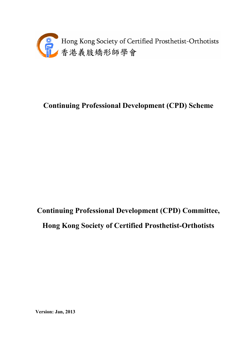

## **Continuing Professional Development (CPD) Scheme**

# **Continuing Professional Development (CPD) Committee, Hong Kong Society of Certified Prosthetist-Orthotists**

**Version: Jan, 2013**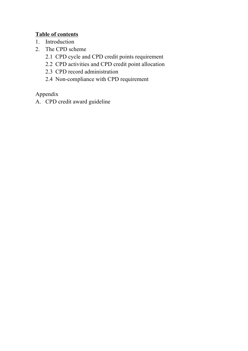### **Table of contents**

- 1. Introduction
- 2. The CPD scheme
	- 2.1 CPD cycle and CPD credit points requirement
	- 2.2 CPD activities and CPD credit point allocation
	- 2.3 CPD record administration
	- 2.4 Non-compliance with CPD requirement

Appendix

A. CPD credit award guideline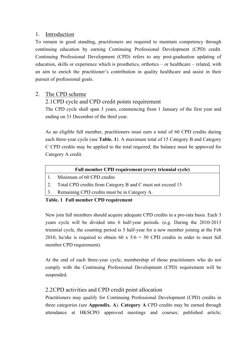#### 1. Introduction

To remain in good standing, practitioners are required to maintain competency through continuing education by earning Continuing Professional Development (CPD) credit. Continuing Professional Development (CPD) refers to any post-graduation updating of education, skills or experience which is prosthetics, orthotics – or healthcare – related, with an aim to enrich the practitioner's contribution in quality healthcare and assist in their pursuit of professional goals.

#### 2. The CPD scheme

2.1CPD cycle and CPD credit points requirement

The CPD cycle shall span 3 years, commencing from 1 January of the first year and ending on 31 December of the third year.

As an eligible full member, practitioners must earn a total of 60 CPD credits during each three-year cycle (see **Table. 1**). A maximum total of 15 Category B and Category C CPD credits may be applied to the total required; the balance must be approved for Category A credit.

| Full member CPD requirement (every triennial cycle) |  |  |  |
|-----------------------------------------------------|--|--|--|
|                                                     |  |  |  |

- 1. Minimum of 60 CPD credits
- 2. Total CPD credits from Category B and C must not exceed 15
- 3. Remaining CPD credits must be in Category A.

#### **Table. 1 Full member CPD requirement**

New join full members should acquire adequate CPD credits in a pro-rata basis. Each 3 years cycle will be divided into 6 half-year periods. (e.g. During the 2010-2013 triennial cycle, the counting period is 5 half-year for a new member joining at the Feb 2010, he/she is required to obtain 60 x  $5/6 = 50$  CPD credits in order to meet full member CPD requirement).

At the end of each three-year cycle, membership of those practitioners who do not comply with the Continuing Professional Development (CPD) requirement will be suspended.

#### 2.2CPD activities and CPD credit point allocation

Practitioners may qualify for Continuing Professional Development (CPD) credits in three categories (see **Appendix. A**). **Category A** CPD credits may be earned through attendance at HKSCPO approved meetings and courses; published article;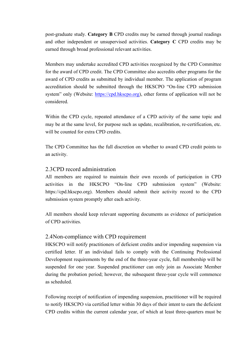post-graduate study. **Category B** CPD credits may be earned through journal readings and other independent or unsupervised activities. **Category C** CPD credits may be earned through broad professional relevant activities.

Members may undertake accredited CPD activities recognized by the CPD Committee for the award of CPD credit. The CPD Committee also accredits other programs for the award of CPD credits as submitted by individual member. The application of program accreditation should be submitted through the HKSCPO "On-line CPD submission system" only (Website: https://cpd.hkscpo.org), other forms of application will not be considered.

Within the CPD cycle, repeated attendance of a CPD activity of the same topic and may be at the same level, for purpose such as update, recalibration, re-certification, etc. will be counted for extra CPD credits.

The CPD Committee has the full discretion on whether to award CPD credit points to an activity.

#### 2.3CPD record administration

All members are required to maintain their own records of participation in CPD activities in the HKSCPO "On-line CPD submission system" (Website: https://cpd.hkscpo.org). Members should submit their activity record to the CPD submission system promptly after each activity.

All members should keep relevant supporting documents as evidence of participation of CPD activities.

#### 2.4Non-compliance with CPD requirement

HKSCPO will notify practitioners of deficient credits and/or impending suspension via certified letter. If an individual fails to comply with the Continuing Professional Development requirements by the end of the three-year cycle, full membership will be suspended for one year. Suspended practitioner can only join as Associate Member during the probation period; however, the subsequent three-year cycle will commence as scheduled.

Following receipt of notification of impending suspension, practitioner will be required to notify HKSCPO via certified letter within 30 days of their intent to earn the deficient CPD credits within the current calendar year, of which at least three-quarters must be